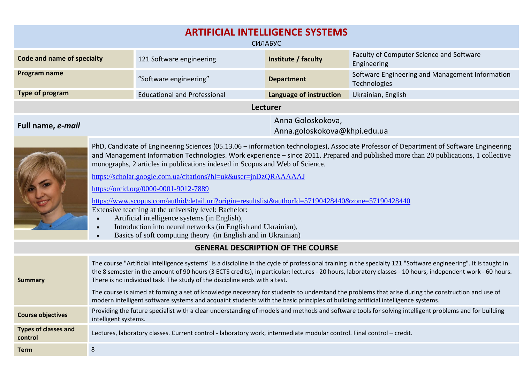| <b>ARTIFICIAL INTELLIGENCE SYSTEMS</b><br>СИЛАБУС                                                                                                                                                                                                                                                                                                                                                                                                                                                                                                                                                                                                                                                                                                                                                                             |                                                                                                                                                                                                                                                                                                                                                                                                             |                                     |                                                   |                                                                                                                                                       |  |  |  |  |
|-------------------------------------------------------------------------------------------------------------------------------------------------------------------------------------------------------------------------------------------------------------------------------------------------------------------------------------------------------------------------------------------------------------------------------------------------------------------------------------------------------------------------------------------------------------------------------------------------------------------------------------------------------------------------------------------------------------------------------------------------------------------------------------------------------------------------------|-------------------------------------------------------------------------------------------------------------------------------------------------------------------------------------------------------------------------------------------------------------------------------------------------------------------------------------------------------------------------------------------------------------|-------------------------------------|---------------------------------------------------|-------------------------------------------------------------------------------------------------------------------------------------------------------|--|--|--|--|
| <b>Code and name of specialty</b>                                                                                                                                                                                                                                                                                                                                                                                                                                                                                                                                                                                                                                                                                                                                                                                             |                                                                                                                                                                                                                                                                                                                                                                                                             | 121 Software engineering            | Institute / faculty                               | Faculty of Computer Science and Software<br>Engineering                                                                                               |  |  |  |  |
| Program name                                                                                                                                                                                                                                                                                                                                                                                                                                                                                                                                                                                                                                                                                                                                                                                                                  |                                                                                                                                                                                                                                                                                                                                                                                                             | "Software engineering"              | <b>Department</b>                                 | Software Engineering and Management Information<br>Technologies                                                                                       |  |  |  |  |
| <b>Type of program</b>                                                                                                                                                                                                                                                                                                                                                                                                                                                                                                                                                                                                                                                                                                                                                                                                        |                                                                                                                                                                                                                                                                                                                                                                                                             | <b>Educational and Professional</b> | Language of instruction                           | Ukrainian, English                                                                                                                                    |  |  |  |  |
| Lecturer                                                                                                                                                                                                                                                                                                                                                                                                                                                                                                                                                                                                                                                                                                                                                                                                                      |                                                                                                                                                                                                                                                                                                                                                                                                             |                                     |                                                   |                                                                                                                                                       |  |  |  |  |
| Full name, e-mail                                                                                                                                                                                                                                                                                                                                                                                                                                                                                                                                                                                                                                                                                                                                                                                                             |                                                                                                                                                                                                                                                                                                                                                                                                             |                                     | Anna Goloskokova,<br>Anna.goloskokova@khpi.edu.ua |                                                                                                                                                       |  |  |  |  |
| PhD, Candidate of Engineering Sciences (05.13.06 - information technologies), Associate Professor of Department of Software Engineering<br>and Management Information Technologies. Work experience – since 2011. Prepared and published more than 20 publications, 1 collective<br>monographs, 2 articles in publications indexed in Scopus and Web of Science.<br>https://scholar.google.com.ua/citations?hl=uk&user=jnDzQRAAAAAJ<br>https://orcid.org/0000-0001-9012-7889<br>https://www.scopus.com/authid/detail.uri?origin=resultslist&authorId=57190428440&zone=57190428440<br>Extensive teaching at the university level: Bachelor:<br>Artificial intelligence systems (in English),<br>Introduction into neural networks (in English and Ukrainian),<br>Basics of soft computing theory (in English and in Ukrainian) |                                                                                                                                                                                                                                                                                                                                                                                                             |                                     |                                                   |                                                                                                                                                       |  |  |  |  |
|                                                                                                                                                                                                                                                                                                                                                                                                                                                                                                                                                                                                                                                                                                                                                                                                                               |                                                                                                                                                                                                                                                                                                                                                                                                             |                                     | <b>GENERAL DESCRIPTION OF THE COURSE</b>          |                                                                                                                                                       |  |  |  |  |
| <b>Summary</b>                                                                                                                                                                                                                                                                                                                                                                                                                                                                                                                                                                                                                                                                                                                                                                                                                | The course "Artificial intelligence systems" is a discipline in the cycle of professional training in the specialty 121 "Software engineering". It is taught in<br>the 8 semester in the amount of 90 hours (3 ECTS credits), in particular: lectures - 20 hours, laboratory classes - 10 hours, independent work - 60 hours.<br>There is no individual task. The study of the discipline ends with a test. |                                     |                                                   |                                                                                                                                                       |  |  |  |  |
|                                                                                                                                                                                                                                                                                                                                                                                                                                                                                                                                                                                                                                                                                                                                                                                                                               | The course is aimed at forming a set of knowledge necessary for students to understand the problems that arise during the construction and use of<br>modern intelligent software systems and acquaint students with the basic principles of building artificial intelligence systems.                                                                                                                       |                                     |                                                   |                                                                                                                                                       |  |  |  |  |
| <b>Course objectives</b>                                                                                                                                                                                                                                                                                                                                                                                                                                                                                                                                                                                                                                                                                                                                                                                                      | intelligent systems.                                                                                                                                                                                                                                                                                                                                                                                        |                                     |                                                   | Providing the future specialist with a clear understanding of models and methods and software tools for solving intelligent problems and for building |  |  |  |  |
| <b>Types of classes and</b><br>control                                                                                                                                                                                                                                                                                                                                                                                                                                                                                                                                                                                                                                                                                                                                                                                        | Lectures, laboratory classes. Current control - laboratory work, intermediate modular control. Final control - credit.                                                                                                                                                                                                                                                                                      |                                     |                                                   |                                                                                                                                                       |  |  |  |  |
| <b>Term</b>                                                                                                                                                                                                                                                                                                                                                                                                                                                                                                                                                                                                                                                                                                                                                                                                                   | $\bf 8$                                                                                                                                                                                                                                                                                                                                                                                                     |                                     |                                                   |                                                                                                                                                       |  |  |  |  |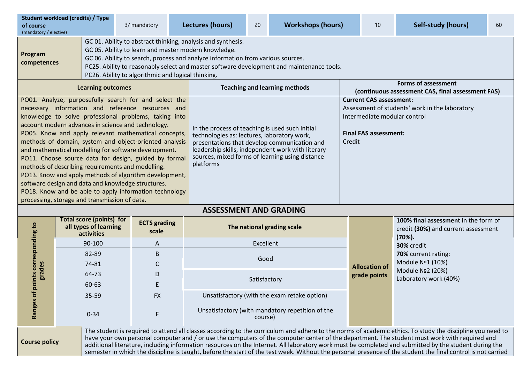| of course<br>(mandatory / elective)                                                                                                                                                                                                                                                                                                                                                                                                                                                                                                                                                                                                                                                                                                          | <b>Student workload (credits) / Type</b>                               | 3/ mandatory                 |                            | Lectures (hours)                                                                                                                                                                                                                                                    | 20 | <b>Workshops (hours)</b> |  | 10                                                                                                                                                         | Self-study (hours)  | 60 |  |
|----------------------------------------------------------------------------------------------------------------------------------------------------------------------------------------------------------------------------------------------------------------------------------------------------------------------------------------------------------------------------------------------------------------------------------------------------------------------------------------------------------------------------------------------------------------------------------------------------------------------------------------------------------------------------------------------------------------------------------------------|------------------------------------------------------------------------|------------------------------|----------------------------|---------------------------------------------------------------------------------------------------------------------------------------------------------------------------------------------------------------------------------------------------------------------|----|--------------------------|--|------------------------------------------------------------------------------------------------------------------------------------------------------------|---------------------|----|--|
| GC 01. Ability to abstract thinking, analysis and synthesis.<br>GC 05. Ability to learn and master modern knowledge.<br>Program<br>GC 06. Ability to search, process and analyze information from various sources.<br>competences<br>PC25. Ability to reasonably select and master software development and maintenance tools.<br>PC26. Ability to algorithmic and logical thinking.                                                                                                                                                                                                                                                                                                                                                         |                                                                        |                              |                            |                                                                                                                                                                                                                                                                     |    |                          |  |                                                                                                                                                            |                     |    |  |
| <b>Learning outcomes</b>                                                                                                                                                                                                                                                                                                                                                                                                                                                                                                                                                                                                                                                                                                                     |                                                                        |                              |                            | <b>Teaching and learning methods</b>                                                                                                                                                                                                                                |    |                          |  | <b>Forms of assessment</b><br>(continuous assessment CAS, final assessment FAS)                                                                            |                     |    |  |
| PO01. Analyze, purposefully search for and select the<br>necessary information and reference resources and<br>knowledge to solve professional problems, taking into<br>account modern advances in science and technology.<br>PO05. Know and apply relevant mathematical concepts,<br>methods of domain, system and object-oriented analysis<br>and mathematical modelling for software development.<br>PO11. Choose source data for design, guided by formal<br>methods of describing requirements and modelling.<br>PO13. Know and apply methods of algorithm development,<br>software design and data and knowledge structures.<br>PO18. Know and be able to apply information technology<br>processing, storage and transmission of data. |                                                                        |                              |                            | In the process of teaching is used such initial<br>technologies as: lectures, laboratory work,<br>presentations that develop communication and<br>leadership skills, independent work with literary<br>sources, mixed forms of learning using distance<br>platforms |    |                          |  | <b>Current CAS assessment:</b><br>Assessment of students' work in the laboratory<br>Intermediate modular control<br><b>Final FAS assessment:</b><br>Credit |                     |    |  |
| <b>ASSESSMENT AND GRADING</b>                                                                                                                                                                                                                                                                                                                                                                                                                                                                                                                                                                                                                                                                                                                |                                                                        |                              |                            |                                                                                                                                                                                                                                                                     |    |                          |  |                                                                                                                                                            |                     |    |  |
| esponding to                                                                                                                                                                                                                                                                                                                                                                                                                                                                                                                                                                                                                                                                                                                                 | <b>Total score (points) for</b><br>all types of learning<br>activities | <b>ECTS</b> grading<br>scale | The national grading scale |                                                                                                                                                                                                                                                                     |    |                          |  | 100% final assessment in the form of<br>credit (30%) and current assessment<br>$(70%)$ .                                                                   |                     |    |  |
|                                                                                                                                                                                                                                                                                                                                                                                                                                                                                                                                                                                                                                                                                                                                              | 90-100                                                                 | A                            |                            | Excellent<br>30% credit                                                                                                                                                                                                                                             |    |                          |  |                                                                                                                                                            |                     |    |  |
|                                                                                                                                                                                                                                                                                                                                                                                                                                                                                                                                                                                                                                                                                                                                              | 82-89                                                                  | B                            |                            |                                                                                                                                                                                                                                                                     |    |                          |  |                                                                                                                                                            | 70% current rating: |    |  |

Good

Satisfactory

Unsatisfactory (with mandatory repetition of the

35-59 FХ Unsatisfactory (with the exam retake option)

**Ranges of points corresponding to Ranges of points corres**<br>**grades** 

**Course policy**

74-81 С 64-73 D

60-63 Е

0-34 F

course) The student is required to attend all classes according to the curriculum and adhere to the norms of academic ethics. To study the discipline you need to have your own personal computer and / or use the computers of the computer center of the department. The student must work with required and additional literature, including information resources on the Internet. All laboratory work must be completed and submitted by the student during the semester in which the discipline is taught, before the start of the test week. Without the personal presence of the student the final control is not carried

**Allocation of grade points**

Module №1 (10%) Module №2 (20%) Laboratory work (40%)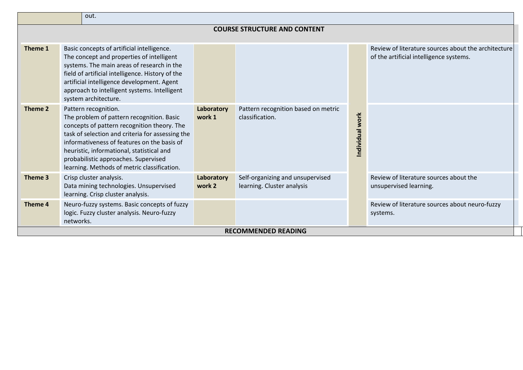|                                     | out.                                                                                                                                                                                                                                                                                                                                                    |                      |                                                                |                 |                                                                                                |  |  |  |  |
|-------------------------------------|---------------------------------------------------------------------------------------------------------------------------------------------------------------------------------------------------------------------------------------------------------------------------------------------------------------------------------------------------------|----------------------|----------------------------------------------------------------|-----------------|------------------------------------------------------------------------------------------------|--|--|--|--|
| <b>COURSE STRUCTURE AND CONTENT</b> |                                                                                                                                                                                                                                                                                                                                                         |                      |                                                                |                 |                                                                                                |  |  |  |  |
| Theme 1                             | Basic concepts of artificial intelligence.<br>The concept and properties of intelligent<br>systems. The main areas of research in the<br>field of artificial intelligence. History of the<br>artificial intelligence development. Agent<br>approach to intelligent systems. Intelligent<br>system architecture.                                         |                      |                                                                |                 | Review of literature sources about the architecture<br>of the artificial intelligence systems. |  |  |  |  |
| Theme 2                             | Pattern recognition.<br>The problem of pattern recognition. Basic<br>concepts of pattern recognition theory. The<br>task of selection and criteria for assessing the<br>informativeness of features on the basis of<br>heuristic, informational, statistical and<br>probabilistic approaches. Supervised<br>learning. Methods of metric classification. | Laboratory<br>work 1 | Pattern recognition based on metric<br>classification.         | Individual work |                                                                                                |  |  |  |  |
| Theme 3                             | Crisp cluster analysis.<br>Laboratory<br>Data mining technologies. Unsupervised<br>work 2<br>learning. Crisp cluster analysis.                                                                                                                                                                                                                          |                      | Self-organizing and unsupervised<br>learning. Cluster analysis |                 | Review of literature sources about the<br>unsupervised learning.                               |  |  |  |  |
| Theme 4                             | Neuro-fuzzy systems. Basic concepts of fuzzy<br>logic. Fuzzy cluster analysis. Neuro-fuzzy<br>networks.                                                                                                                                                                                                                                                 |                      |                                                                |                 | Review of literature sources about neuro-fuzzy<br>systems.                                     |  |  |  |  |
| <b>RECOMMENDED READING</b>          |                                                                                                                                                                                                                                                                                                                                                         |                      |                                                                |                 |                                                                                                |  |  |  |  |